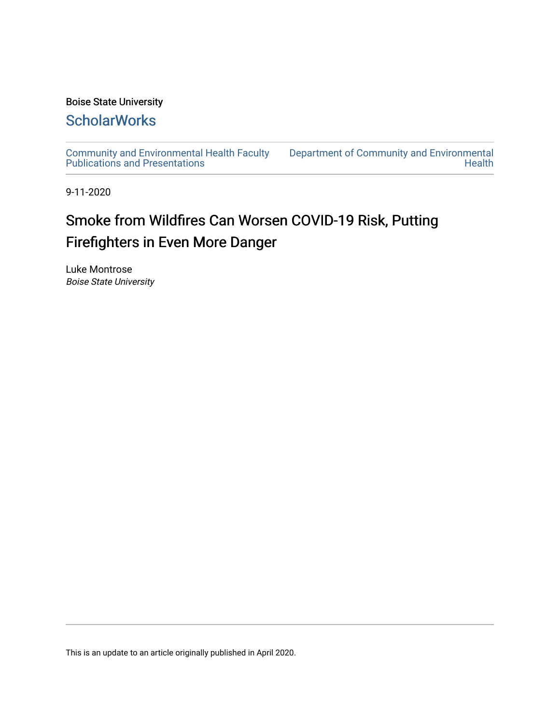### Boise State University

## **ScholarWorks**

[Community and Environmental Health Faculty](https://scholarworks.boisestate.edu/commhealth_facpubs)  [Publications and Presentations](https://scholarworks.boisestate.edu/commhealth_facpubs) 

[Department of Community and Environmental](https://scholarworks.boisestate.edu/commhealth)  **Health** 

9-11-2020

# Smoke from Wildfires Can Worsen COVID-19 Risk, Putting Firefighters in Even More Danger

Luke Montrose Boise State University

This is an update to an article originally published in April 2020.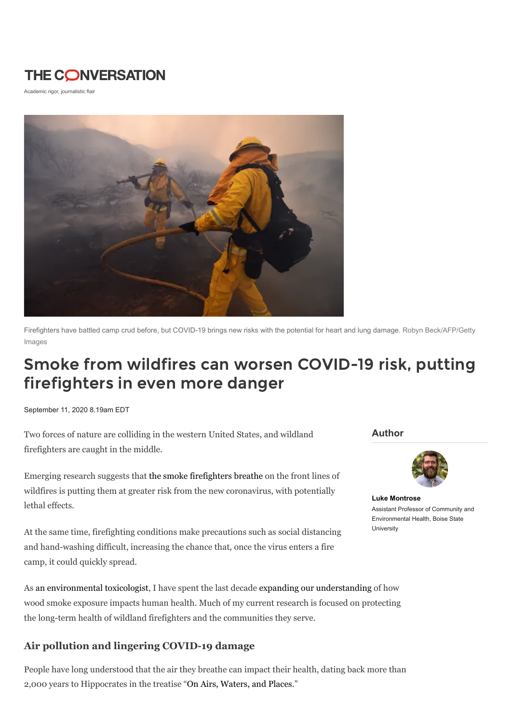## **THE CONVERSATION**

Academic rigor, journalistic flair



[Firefighters have battled camp crud before, but COVID-19 brings new risks with the potential for heart and lung damage. Robyn Beck/AFP/Getty](https://www.gettyimages.com/detail/news-photo/riverside-county-firefighters-douse-embers-after-flames-news-photo/1014201966) Images

# Smoke from wildfires can worsen COVID-19 risk, putting firefighters in even more danger

September 11, 2020 8.19am EDT

Two forces of nature are colliding in the western United States, and wildland firefighters are caught in the middle.

Emerging research suggests that the smoke [firefighters](https://theconversation.com/whats-in-wildfire-smoke-and-why-is-it-so-bad-for-your-lungs-144790) breathe on the front lines of wildfires is putting them at greater risk from the new coronavirus, with potentially lethal effects.

At the same time, firefighting conditions make precautions such as social distancing and hand-washing difficult, increasing the chance that, once the virus enters a fire camp, it could quickly spread.

As an [environmental](https://www.boisestate.edu/ceh/luke-montrose/) toxicologist, I have spent the last decade expanding our [understanding](https://doi.org/10.1289/EHP849) of how wood smoke exposure impacts human health. Much of my current research is focused on protecting the long-term health of wildland firefighters and the communities they serve.

### **Air pollution and lingering COVID-19 damage**

People have long understood that the air they breathe can impact their health, dating back more than 2,000 years to Hippocrates in the treatise "On Airs, [Waters,](http://classics.mit.edu/Hippocrates/airwatpl.html) and Places."

**Author**



**Luke [Montrose](https://theconversation.com/profiles/luke-montrose-1022575)** Assistant Professor of Community and Environmental Health, Boise State University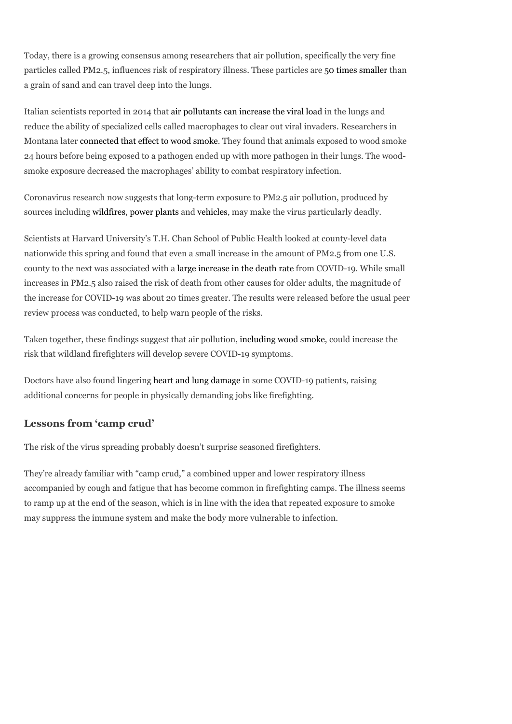Today, there is a growing consensus among researchers that air pollution, specifically the very fine particles called PM2.5, influences risk of respiratory illness. These particles are 50 times [smaller](https://ww2.arb.ca.gov/resources/inhalable-particulate-matter-and-health) than a grain of sand and can travel deep into the lungs.

Italian scientists reported in 2014 that air [pollutants](https://dx.doi.org/10.1186%2F1471-2466-14-31) can increase the viral load in the lungs and reduce the ability of specialized cells called macrophages to clear out viral invaders. Researchers in Montana later [connected](https://dx.doi.org/10.3109%2F08958378.2012.756086) that effect to wood smoke. They found that animals exposed to wood smoke 24 hours before being exposed to a pathogen ended up with more pathogen in their lungs. The woodsmoke exposure decreased the macrophages' ability to combat respiratory infection.

Coronavirus research now suggests that long-term exposure to PM2.5 air pollution, produced by sources including [wildfires](https://doi.org/10.1021/acs.est.8b05430), [power](https://doi.org/10.1021/acs.est.9b02527) plants and [vehicles,](https://dx.doi.org/10.1007%2Fs11869-010-0104-5) may make the virus particularly deadly.

Scientists at Harvard University's T.H. Chan School of Public Health looked at county-level data nationwide this spring and found that even a small increase in the amount of PM2.5 from one U.S. county to the next was associated with a large [increase](https://doi.org/10.1101/2020.04.05.20054502) in the death rate from COVID-19. While small increases in PM2.5 also raised the risk of death from other causes for older adults, the magnitude of the increase for COVID-19 was about 20 times greater. The results were released before the usual peer review process was conducted, to help warn people of the risks.

Taken together, these findings suggest that air pollution, [including](https://theconversation.com/whats-in-wildfire-smoke-and-why-is-it-so-bad-for-your-lungs-144790) wood smoke, could increase the risk that wildland firefighters will develop severe COVID-19 symptoms.

Doctors have also found lingering heart and lung [damage](https://news.berkeley.edu/2020/07/08/from-lung-scarring-to-heart-damage-covid-19-may-leave-lingering-marks/) in some COVID-19 patients, raising additional concerns for people in physically demanding jobs like firefighting.

### **Lessons from 'camp crud'**

The risk of the virus spreading probably doesn't surprise seasoned firefighters.

They're already familiar with "camp crud," a combined upper and lower respiratory illness accompanied by cough and fatigue that has become common in firefighting camps. The illness seems to ramp up at the end of the season, which is in line with the idea that repeated exposure to smoke may suppress the immune system and make the body more vulnerable to infection.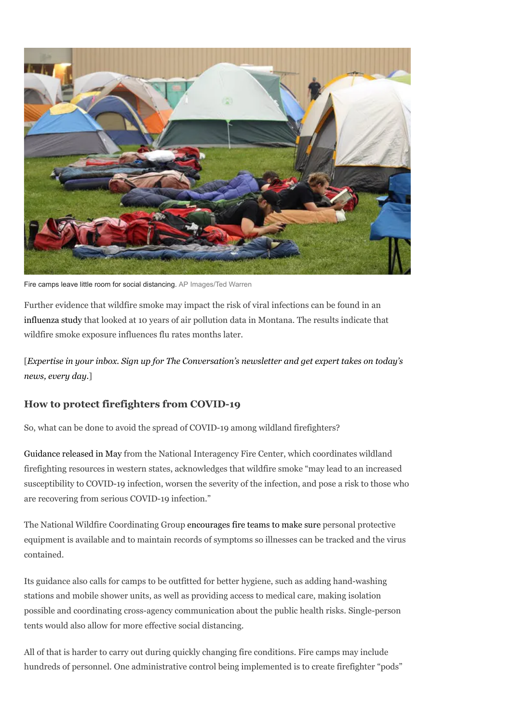

Fire camps leave little room for social distancing. [AP Images/Ted Warren](http://www.apimages.com/metadata/Index/Western-Wildfires/42aee444b15443078b24fd217551fb0d/9/0)

Further evidence that wildfire smoke may impact the risk of viral infections can be found in an [influenza](https://doi.org/10.1016/j.envint.2020.105668) study that looked at 10 years of air pollution data in Montana. The results indicate that wildfire smoke exposure influences flu rates months later.

[*Expertise in your inbox. Sign up for The [Conversation's](https://theconversation.com/us/newsletters/the-daily-3?utm_source=TCUS&utm_medium=inline-link&utm_campaign=newsletter-text&utm_content=experts) newsletter and get expert takes on today's news, every day.*]

#### **How to protect firefighters from COVID-19**

So, what can be done to avoid the spread of COVID-19 among wildland firefighters?

[Guidance](https://firenet365.sharepoint.com/:b:/s/2020_COVID-19_GeographicArea_WRP168/EekO5EIET_FPumznDiJMj14BXMWjPz-HfoJ6KIu-pu5vMA?e=MU96ii) released in May from the National Interagency Fire Center, which coordinates wildland firefighting resources in western states, acknowledges that wildfire smoke "may lead to an increased susceptibility to COVID-19 infection, worsen the severity of the infection, and pose a risk to those who are recovering from serious COVID-19 infection."

The National Wildfire Coordinating Group [encourages](https://www.nwcg.gov/committees/emergency-medical-committee/infectious-disease-guidance) fire teams to make sure personal protective equipment is available and to maintain records of symptoms so illnesses can be tracked and the virus contained.

Its guidance also calls for camps to be outfitted for better hygiene, such as adding hand-washing stations and mobile shower units, as well as providing access to medical care, making isolation possible and coordinating cross-agency communication about the public health risks. Single-person tents would also allow for more effective social distancing.

All of that is harder to carry out during quickly changing fire conditions. Fire camps may include hundreds of personnel. One administrative control being implemented is to create firefighter "pods"